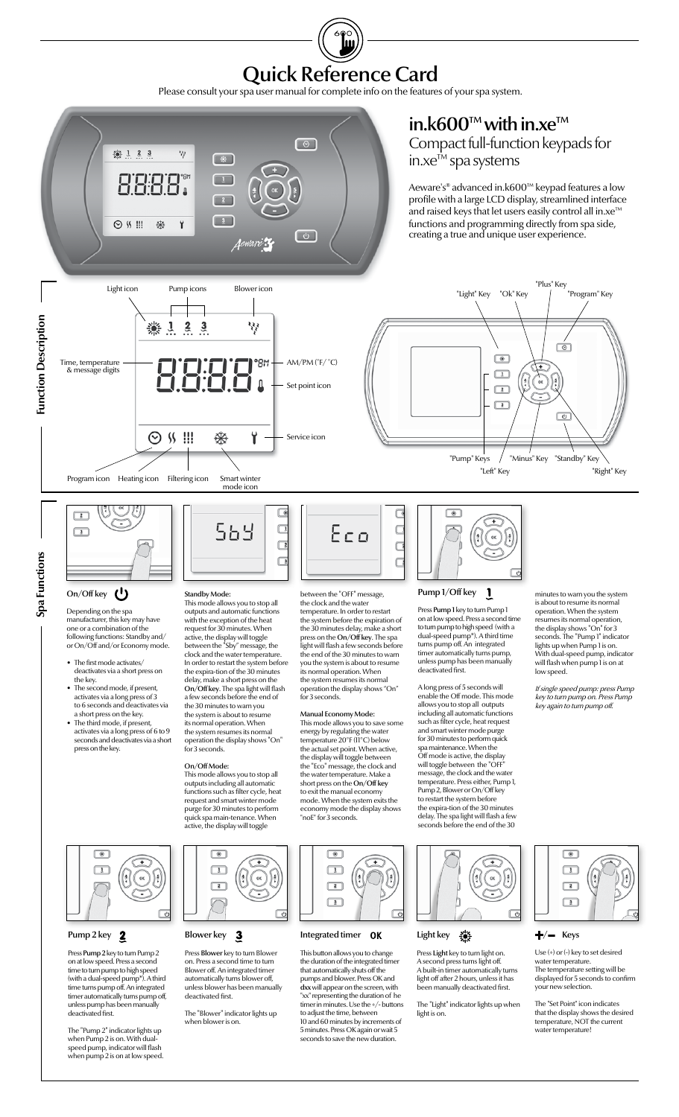Quick Reference Card

Please consult your spa user manual for complete info on the features of your spa system.



 $\boxed{\circledast}$  $\boxed{1}$  $\frac{4}{1}$  $\alpha$  $\frac{5}{2}$  $\sqrt{c}$ 

# Pump 2 key  $\overline{2}$

Press Pump 2 key to turn Pump 2 on at low speed. Press a second time to turn pump to high speed (with a dual-speed pump\*). A third time turns pump off. An integrated timer automatically turns pump off, unless pump has been manually deactivated first.

The "Pump 2" indicator lights up when Pump 2 is on. With dualspeed pump, indicator will flash when pump 2 is on at low speed.





Press Blower key to turn Blower on. Press a second time to turn Blower off. An integrated timer automatically turns blower off, unless blower has been manually deactivated first.

The "Blower" indicator lights up when blower is on.



#### Light key  $\frac{1}{2}$

Press Light key to turn light on. A second press turns light off. A built-in timer automatically turns light off after 2 hours, unless it has been manually deactivated first.

The "Light" indicator lights up when light is on.





Use (+) or (-) key to set desired water temperature. The temperature setting will be displayed for 5 seconds to confirm your new selection.

The "Set Point" icon indicates that the display shows the desired temperature, NOT the current water temperature!



#### Integrated timer OK

This button allows you to change the duration of the integrated timer<br>that automatically shuts off the that automatically shuts off the<br>
pumps and blower. Press OK and<br>
dxx will appear on the screen, with<br>
"xx" representing the duration of he<br>
timer in minutes. Use the +/- buttons<br>
to adjust the time, between 10 and 60 minutes by increments of 5 minutes. Press OK again or wait 5 seconds to save the new duration.